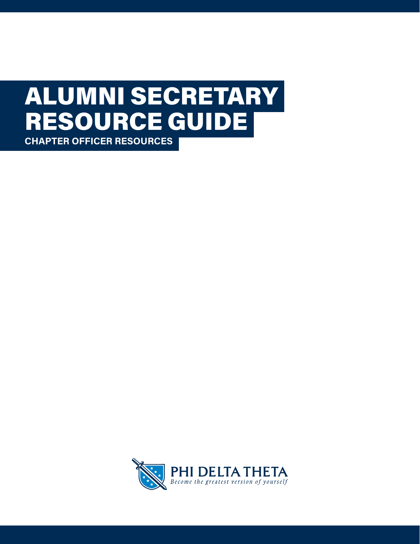# RESOURCE GUIDE ALUMNI SECRETARY

**CHAPTER OFFICER RESOURCES**

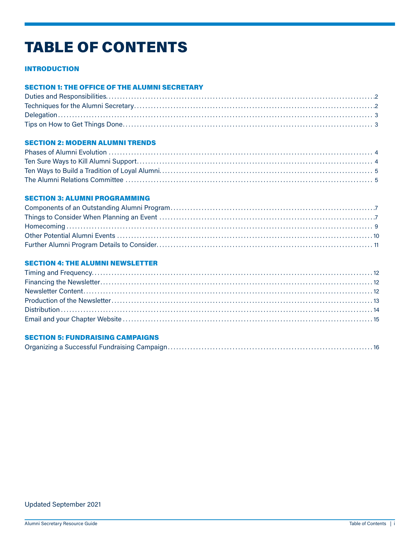## **TABLE OF CONTENTS**

## **INTRODUCTION**

#### **SECTION 1: THE OFFICE OF THE ALUMNI SECRETARY**

#### **SECTION 2: MODERN ALUMNI TRENDS**

## **SECTION 3: ALUMNI PROGRAMMING**

### **SECTION 4: THE ALUMNI NEWSLETTER**

## **SECTION 5: FUNDRAISING CAMPAIGNS**

|--|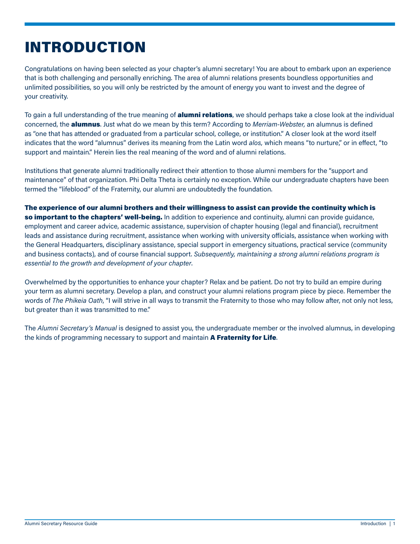## <span id="page-2-0"></span>INTRODUCTION

Congratulations on having been selected as your chapter's alumni secretary! You are about to embark upon an experience that is both challenging and personally enriching. The area of alumni relations presents boundless opportunities and unlimited possibilities, so you will only be restricted by the amount of energy you want to invest and the degree of your creativity.

To gain a full understanding of the true meaning of **alumni relations**, we should perhaps take a close look at the individual concerned, the alumnus. Just what do we mean by this term? According to *Merriam-Webster,* an alumnus is defined as "one that has attended or graduated from a particular school, college, or institution." A closer look at the word itself indicates that the word "alumnus" derives its meaning from the Latin word *alos,* which means "to nurture," or in effect, "to support and maintain." Herein lies the real meaning of the word and of alumni relations.

Institutions that generate alumni traditionally redirect their attention to those alumni members for the "support and maintenance" of that organization. Phi Delta Theta is certainly no exception. While our undergraduate chapters have been termed the "lifeblood" of the Fraternity, our alumni are undoubtedly the foundation.

The experience of our alumni brothers and their willingness to assist can provide the continuity which is so important to the chapters' well-being. In addition to experience and continuity, alumni can provide guidance, employment and career advice, academic assistance, supervision of chapter housing (legal and financial), recruitment leads and assistance during recruitment, assistance when working with university officials, assistance when working with the General Headquarters, disciplinary assistance, special support in emergency situations, practical service (community and business contacts), and of course financial support. *Subsequently, maintaining a strong alumni relations program is essential to the growth and development of your chapter*.

Overwhelmed by the opportunities to enhance your chapter? Relax and be patient. Do not try to build an empire during your term as alumni secretary. Develop a plan, and construct your alumni relations program piece by piece. Remember the words of *The Phikeia Oath*, "I will strive in all ways to transmit the Fraternity to those who may follow after, not only not less, but greater than it was transmitted to me."

The *Alumni Secretary's Manual* is designed to assist you, the undergraduate member or the involved alumnus, in developing the kinds of programming necessary to support and maintain **A Fraternity for Life**.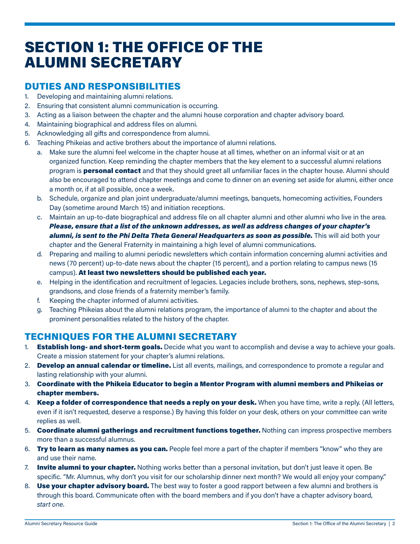## <span id="page-3-0"></span>SECTION 1: THE OFFICE OF THE ALUMNI SECRETARY

## DUTIES AND RESPONSIBILITIES

- 1. Developing and maintaining alumni relations.
- 2. Ensuring that consistent alumni communication is occurring.
- 3. Acting as a liaison between the chapter and the alumni house corporation and chapter advisory board.
- 4. Maintaining biographical and address files on alumni.
- 5. Acknowledging all gifts and correspondence from alumni.
- 6. Teaching Phikeias and active brothers about the importance of alumni relations.
	- a. Make sure the alumni feel welcome in the chapter house at all times, whether on an informal visit or at an organized function. Keep reminding the chapter members that the key element to a successful alumni relations program is **personal contact** and that they should greet all unfamiliar faces in the chapter house. Alumni should also be encouraged to attend chapter meetings and come to dinner on an evening set aside for alumni, either once a month or, if at all possible, once a week.
	- b. Schedule, organize and plan joint undergraduate/alumni meetings, banquets, homecoming activities, Founders Day (sometime around March 15) and initiation receptions.
	- c. Maintain an up-to-date biographical and address file on all chapter alumni and other alumni who live in the area. *Please, ensure that a list of the unknown addresses, as well as address changes of your chapter's alumni, is sent to the Phi Delta Theta General Headquarters as soon as possible.* This will aid both your chapter and the General Fraternity in maintaining a high level of alumni communications.
	- d. Preparing and mailing to alumni periodic newsletters which contain information concerning alumni activities and news (70 percent) up-to-date news about the chapter (15 percent), and a portion relating to campus news (15 campus). At least two newsletters should be published each year.
	- e. Helping in the identification and recruitment of legacies. Legacies include brothers, sons, nephews, step-sons, grandsons, and close friends of a fraternity member's family.
	- f. Keeping the chapter informed of alumni activities.
	- g. Teaching Phikeias about the alumni relations program, the importance of alumni to the chapter and about the prominent personalities related to the history of the chapter.

## TECHNIQUES FOR THE ALUMNI SECRETARY

- 1. Establish long- and short-term goals. Decide what you want to accomplish and devise a way to achieve your goals. Create a mission statement for your chapter's alumni relations.
- 2. Develop an annual calendar or timeline. List all events, mailings, and correspondence to promote a regular and lasting relationship with your alumni.
- 3. Coordinate with the Phikeia Educator to begin a Mentor Program with alumni members and Phikeias or chapter members.
- 4. Keep a folder of correspondence that needs a reply on your desk. When you have time, write a reply. (All letters, even if it isn't requested, deserve a response.) By having this folder on your desk, others on your committee can write replies as well.
- 5. Coordinate alumni gatherings and recruitment functions together. Nothing can impress prospective members more than a successful alumnus.
- 6. Try to learn as many names as you can. People feel more a part of the chapter if members "know" who they are and use their name.
- 7. **Invite alumni to your chapter.** Nothing works better than a personal invitation, but don't just leave it open. Be specific. "Mr. Alumnus, why don't you visit for our scholarship dinner next month? We would all enjoy your company."
- 8. **Use your chapter advisory board.** The best way to foster a good rapport between a few alumni and brothers is through this board. Communicate often with the board members and if you don't have a chapter advisory board, *start one.*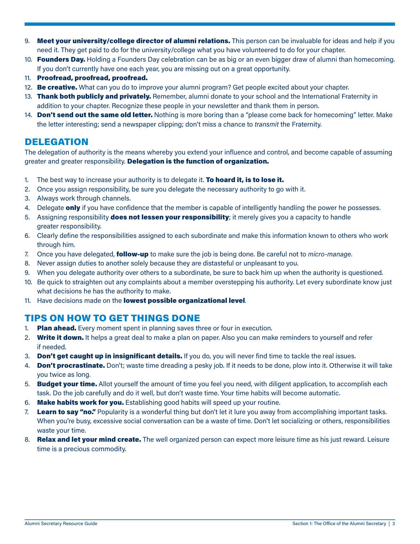- <span id="page-4-0"></span>9. Meet your university/college director of alumni relations. This person can be invaluable for ideas and help if you need it. They get paid to do for the university/college what you have volunteered to do for your chapter.
- 10. Founders Day. Holding a Founders Day celebration can be as big or an even bigger draw of alumni than homecoming. If you don't currently have one each year, you are missing out on a great opportunity.
- 11. Proofread, proofread, proofread.
- 12. Be creative. What can you do to improve your alumni program? Get people excited about your chapter.
- 13. Thank both publicly and privately. Remember, alumni donate to your school and the International Fraternity in addition to your chapter. Recognize these people in your newsletter and thank them in person.
- 14. Don't send out the same old letter. Nothing is more boring than a "please come back for homecoming" letter. Make the letter interesting; send a newspaper clipping; don't miss a chance to *transmit* the Fraternity.

## DELEGATION

The delegation of authority is the means whereby you extend your influence and control, and become capable of assuming greater and greater responsibility. **Delegation is the function of organization.** 

- 1. The best way to increase your authority is to delegate it. **To hoard it, is to lose it.**
- 2. Once you assign responsibility, be sure you delegate the necessary authority to go with it.
- 3. Always work through channels.
- 4. Delegate **only** if you have confidence that the member is capable of intelligently handling the power he possesses.
- 5. Assigning responsibility **does not lessen your responsibility**; it merely gives you a capacity to handle greater responsibility.
- 6. Clearly define the responsibilities assigned to each subordinate and make this information known to others who work through him.
- 7. Once you have delegated, follow-up to make sure the job is being done. Be careful not to *micro-manage*.
- 8. Never assign duties to another solely because they are distasteful or unpleasant to you.
- 9. When you delegate authority over others to a subordinate, be sure to back him up when the authority is questioned.
- 10. Be quick to straighten out any complaints about a member overstepping his authority. Let every subordinate know just what decisions he has the authority to make.
- 11. Have decisions made on the lowest possible organizational level.

## TIPS ON HOW TO GET THINGS DONE

- 1. Plan ahead. Every moment spent in planning saves three or four in execution.
- 2. Write it down. It helps a great deal to make a plan on paper. Also you can make reminders to yourself and refer if needed.
- 3. Don't get caught up in insignificant details. If you do, you will never find time to tackle the real issues.
- 4. Don't procrastinate. Don't; waste time dreading a pesky job. If it needs to be done, plow into it. Otherwise it will take you twice as long.
- 5. Budget your time. Allot yourself the amount of time you feel you need, with diligent application, to accomplish each task. Do the job carefully and do it well, but don't waste time. Your time habits will become automatic.
- 6. Make habits work for you. Establishing good habits will speed up your routine.
- 7. Learn to say "no." Popularity is a wonderful thing but don't let it lure you away from accomplishing important tasks. When you're busy, excessive social conversation can be a waste of time. Don't let socializing or others, responsibilities waste your time.
- 8. Relax and let your mind create. The well organized person can expect more leisure time as his just reward. Leisure time is a precious commodity.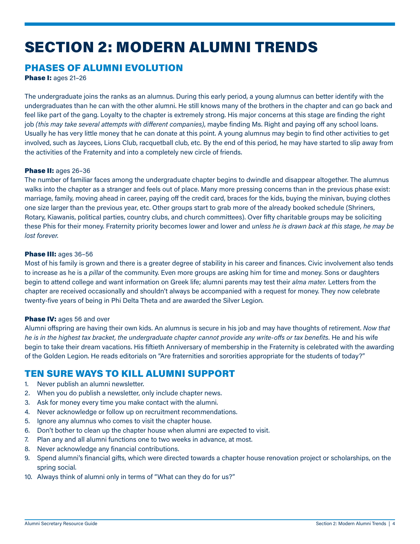## <span id="page-5-0"></span>SECTION 2: MODERN ALUMNI TRENDS

## PHASES OF ALUMNI EVOLUTION

Phase I: ages 21-26

The undergraduate joins the ranks as an alumnus. During this early period, a young alumnus can better identify with the undergraduates than he can with the other alumni. He still knows many of the brothers in the chapter and can go back and feel like part of the gang. Loyalty to the chapter is extremely strong. His major concerns at this stage are finding the right job *(this may take several attempts with different companies)*, maybe finding Ms. Right and paying off any school loans. Usually he has very little money that he can donate at this point. A young alumnus may begin to find other activities to get involved, such as Jaycees, Lions Club, racquetball club, etc. By the end of this period, he may have started to slip away from the activities of the Fraternity and into a completely new circle of friends.

#### Phase II: ages 26-36

The number of familiar faces among the undergraduate chapter begins to dwindle and disappear altogether. The alumnus walks into the chapter as a stranger and feels out of place. Many more pressing concerns than in the previous phase exist: marriage, family, moving ahead in career, paying off the credit card, braces for the kids, buying the minivan, buying clothes one size larger than the previous year, etc. Other groups start to grab more of the already booked schedule (Shriners, Rotary, Kiawanis, political parties, country clubs, and church committees). Over fifty charitable groups may be soliciting these Phis for their money. Fraternity priority becomes lower and lower and *unless he is drawn back at this stage, he may be lost forever.*

#### Phase III: ages 36-56

Most of his family is grown and there is a greater degree of stability in his career and finances. Civic involvement also tends to increase as he is a *pillar* of the community. Even more groups are asking him for time and money. Sons or daughters begin to attend college and want information on Greek life; alumni parents may test their *alma mater.* Letters from the chapter are received occasionally and shouldn't always be accompanied with a request for money. They now celebrate twenty-five years of being in Phi Delta Theta and are awarded the Silver Legion.

### Phase IV: ages 56 and over

Alumni offspring are having their own kids. An alumnus is secure in his job and may have thoughts of retirement. *Now that he is in the highest tax bracket, the undergraduate chapter cannot provide any write-offs or tax benefits.* He and his wife begin to take their dream vacations. His fiftieth Anniversary of membership in the Fraternity is celebrated with the awarding of the Golden Legion. He reads editorials on "Are fraternities and sororities appropriate for the students of today?"

## TEN SURE WAYS TO KILL ALUMNI SUPPORT

- 1. Never publish an alumni newsletter.
- 2. When you do publish a newsletter, only include chapter news.
- 3. Ask for money every time you make contact with the alumni.
- 4. Never acknowledge or follow up on recruitment recommendations.
- 5. Ignore any alumnus who comes to visit the chapter house.
- 6. Don't bother to clean up the chapter house when alumni are expected to visit.
- 7. Plan any and all alumni functions one to two weeks in advance, at most.
- 8. Never acknowledge any financial contributions.
- 9. Spend alumni's financial gifts, which were directed towards a chapter house renovation project or scholarships, on the spring social.
- 10. Always think of alumni only in terms of "What can they do for us?"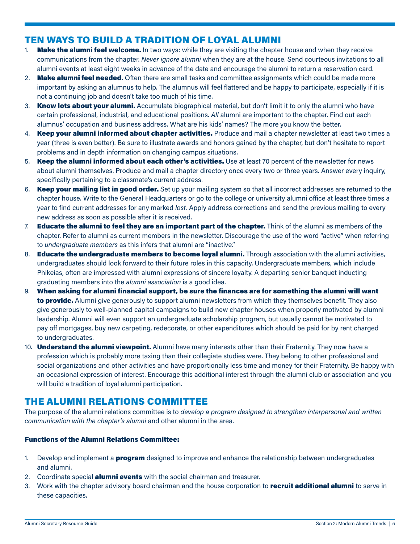## <span id="page-6-0"></span>TEN WAYS TO BUILD A TRADITION OF LOYAL ALUMNI

- 1. Make the alumni feel welcome. In two ways: while they are visiting the chapter house and when they receive communications from the chapter. *Never ignore alumni* when they are at the house. Send courteous invitations to all alumni events at least eight weeks in advance of the date and encourage the alumni to return a reservation card.
- 2. Make alumni feel needed. Often there are small tasks and committee assignments which could be made more important by asking an alumnus to help. The alumnus will feel flattered and be happy to participate, especially if it is not a continuing job and doesn't take too much of his time.
- 3. Know lots about your alumni. Accumulate biographical material, but don't limit it to only the alumni who have certain professional, industrial, and educational positions. *All* alumni are important to the chapter. Find out each alumnus' occupation and business address. What are his kids' names? The more you know the better.
- 4. Keep your alumni informed about chapter activities. Produce and mail a chapter newsletter at least two times a year (three is even better). Be sure to illustrate awards and honors gained by the chapter, but don't hesitate to report problems and in depth information on changing campus situations.
- 5. Keep the alumni informed about each other's activities. Use at least 70 percent of the newsletter for news about alumni themselves. Produce and mail a chapter directory once every two or three years. Answer every inquiry, specifically pertaining to a classmate's current address.
- 6. Keep your mailing list in good order. Set up your mailing system so that all incorrect addresses are returned to the chapter house. Write to the General Headquarters or go to the college or university alumni office at least three times a year to find current addresses for any marked *lost.* Apply address corrections and send the previous mailing to every new address as soon as possible after it is received.
- 7. Educate the alumni to feel they are an important part of the chapter. Think of the alumni as members of the chapter. Refer to alumni as current members in the newsletter. Discourage the use of the word "active" when referring to *undergraduate members* as this infers that alumni are "inactive."
- 8. Educate the undergraduate members to become loyal alumni. Through association with the alumni activities, undergraduates should look forward to their future roles in this capacity. Undergraduate members, which include Phikeias, often are impressed with alumni expressions of sincere loyalty. A departing senior banquet inducting graduating members into the *alumni association* is a good idea.
- 9. When asking for alumni financial support, be sure the finances are for something the alumni will want to provide. Alumni give generously to support alumni newsletters from which they themselves benefit. They also give generously to well-planned capital campaigns to build new chapter houses when properly motivated by alumni leadership. Alumni will even support an undergraduate scholarship program, but usually cannot be motivated to pay off mortgages, buy new carpeting, redecorate, or other expenditures which should be paid for by rent charged to undergraduates.
- 10. **Understand the alumni viewpoint.** Alumni have many interests other than their Fraternity. They now have a profession which is probably more taxing than their collegiate studies were. They belong to other professional and social organizations and other activities and have proportionally less time and money for their Fraternity. Be happy with an occasional expression of interest. Encourage this additional interest through the alumni club or association and you will build a tradition of loyal alumni participation.

## THE ALUMNI RELATIONS COMMITTEE

The purpose of the alumni relations committee is to *develop a program designed to strengthen interpersonal and written communication with the chapter's alumni* and other alumni in the area.

### Functions of the Alumni Relations Committee:

- 1. Develop and implement a **program** designed to improve and enhance the relationship between undergraduates and alumni.
- 2. Coordinate special **alumni events** with the social chairman and treasurer.
- 3. Work with the chapter advisory board chairman and the house corporation to **recruit additional alumni** to serve in these capacities.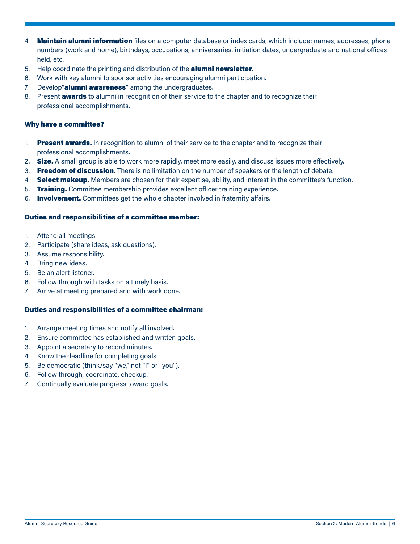- 4. Maintain alumni information files on a computer database or index cards, which include: names, addresses, phone numbers (work and home), birthdays, occupations, anniversaries, initiation dates, undergraduate and national offices held, etc.
- 5. Help coordinate the printing and distribution of the **alumni newsletter**.
- 6. Work with key alumni to sponsor activities encouraging alumni participation.
- 7. Develop"alumni awareness" among the undergraduates.
- 8. Present **awards** to alumni in recognition of their service to the chapter and to recognize their professional accomplishments.

#### Why have a committee?

- 1. Present awards. In recognition to alumni of their service to the chapter and to recognize their professional accomplishments.
- 2. Size. A small group is able to work more rapidly, meet more easily, and discuss issues more effectively.
- 3. Freedom of discussion. There is no limitation on the number of speakers or the length of debate.
- 4. Select makeup. Members are chosen for their expertise, ability, and interest in the committee's function.
- 5. Training. Committee membership provides excellent officer training experience.
- 6. **Involvement.** Committees get the whole chapter involved in fraternity affairs.

#### Duties and responsibilities of a committee member:

- 1. Attend all meetings.
- 2. Participate (share ideas, ask questions).
- 3. Assume responsibility.
- 4. Bring new ideas.
- 5. Be an alert listener.
- 6. Follow through with tasks on a timely basis.
- 7. Arrive at meeting prepared and with work done.

#### Duties and responsibilities of a committee chairman:

- 1. Arrange meeting times and notify all involved.
- 2. Ensure committee has established and written goals.
- 3. Appoint a secretary to record minutes.
- 4. Know the deadline for completing goals.
- 5. Be democratic (think/say "we," not "I" or "you").
- 6. Follow through, coordinate, checkup.
- 7. Continually evaluate progress toward goals.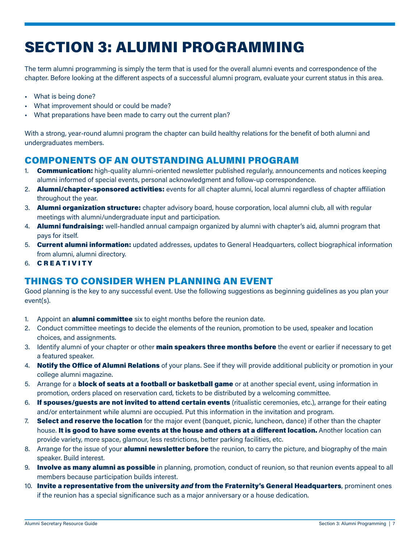## <span id="page-8-0"></span>SECTION 3: ALUMNI PROGRAMMING

The term alumni programming is simply the term that is used for the overall alumni events and correspondence of the chapter. Before looking at the different aspects of a successful alumni program, evaluate your current status in this area.

- What is being done?
- What improvement should or could be made?
- What preparations have been made to carry out the current plan?

With a strong, year-round alumni program the chapter can build healthy relations for the benefit of both alumni and undergraduates members.

## COMPONENTS OF AN OUTSTANDING ALUMNI PROGRAM

- 1. **Communication:** high-quality alumni-oriented newsletter published regularly, announcements and notices keeping alumni informed of special events, personal acknowledgment and follow-up correspondence.
- 2. Alumni/chapter-sponsored activities: events for all chapter alumni, local alumni regardless of chapter affiliation throughout the year.
- 3. Alumni organization structure: chapter advisory board, house corporation, local alumni club, all with regular meetings with alumni/undergraduate input and participation.
- 4. **Alumni fundraising:** well-handled annual campaign organized by alumni with chapter's aid, alumni program that pays for itself.
- 5. Current alumni information: updated addresses, updates to General Headquarters, collect biographical information from alumni, alumni directory.
- 6. **CREATIVITY**

## THINGS TO CONSIDER WHEN PLANNING AN EVENT

Good planning is the key to any successful event. Use the following suggestions as beginning guidelines as you plan your event(s).

- 1. Appoint an **alumni committee** six to eight months before the reunion date.
- 2. Conduct committee meetings to decide the elements of the reunion, promotion to be used, speaker and location choices, and assignments.
- 3. Identify alumni of your chapter or other **main speakers three months before** the event or earlier if necessary to get a featured speaker.
- 4. Notify the Office of Alumni Relations of your plans. See if they will provide additional publicity or promotion in your college alumni magazine.
- 5. Arrange for a **block of seats at a football or basketball game** or at another special event, using information in promotion, orders placed on reservation card, tickets to be distributed by a welcoming committee.
- 6. If spouses/guests are not invited to attend certain events (ritualistic ceremonies, etc.), arrange for their eating and/or entertainment while alumni are occupied. Put this information in the invitation and program.
- 7. Select and reserve the location for the major event (banquet, picnic, luncheon, dance) if other than the chapter house. It is good to have some events at the house and others at a different location. Another location can provide variety, more space, glamour, less restrictions, better parking facilities, etc.
- 8. Arrange for the issue of your **alumni newsletter before** the reunion, to carry the picture, and biography of the main speaker. Build interest.
- 9. **Involve as many alumni as possible** in planning, promotion, conduct of reunion, so that reunion events appeal to all members because participation builds interest.
- 10. Invite a representative from the university *and* from the Fraternity's General Headquarters, prominent ones if the reunion has a special significance such as a major anniversary or a house dedication.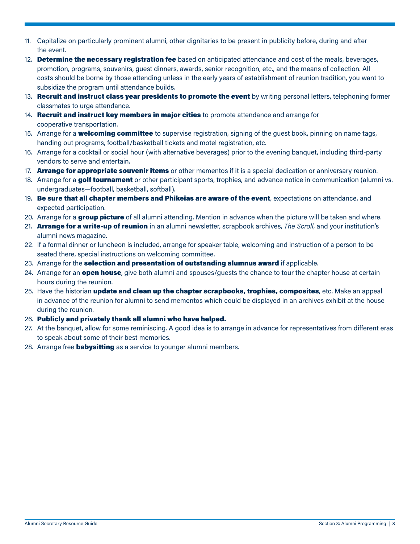- 11. Capitalize on particularly prominent alumni, other dignitaries to be present in publicity before, during and after the event.
- 12. Determine the necessary registration fee based on anticipated attendance and cost of the meals, beverages, promotion, programs, souvenirs, guest dinners, awards, senior recognition, etc., and the means of collection. All costs should be borne by those attending unless in the early years of establishment of reunion tradition, you want to subsidize the program until attendance builds.
- 13. Recruit and instruct class year presidents to promote the event by writing personal letters, telephoning former classmates to urge attendance.
- 14. Recruit and instruct key members in major cities to promote attendance and arrange for cooperative transportation.
- 15. Arrange for a **welcoming committee** to supervise registration, signing of the guest book, pinning on name tags, handing out programs, football/basketball tickets and motel registration, etc.
- 16. Arrange for a cocktail or social hour (with alternative beverages) prior to the evening banquet, including third-party vendors to serve and entertain.
- 17. **Arrange for appropriate souvenir items** or other mementos if it is a special dedication or anniversary reunion.
- 18. Arrange for a golf tournament or other participant sports, trophies, and advance notice in communication (alumni vs. undergraduates—football, basketball, softball).
- 19. Be sure that all chapter members and Phikeias are aware of the event, expectations on attendance, and expected participation.
- 20. Arrange for a **group picture** of all alumni attending. Mention in advance when the picture will be taken and where.
- 21. Arrange for a write-up of reunion in an alumni newsletter, scrapbook archives, *The Scroll*, and your institution's alumni news magazine.
- 22. If a formal dinner or luncheon is included, arrange for speaker table, welcoming and instruction of a person to be seated there, special instructions on welcoming committee.
- 23. Arrange for the **selection and presentation of outstanding alumnus award** if applicable.
- 24. Arrange for an **open house**, give both alumni and spouses/guests the chance to tour the chapter house at certain hours during the reunion.
- 25. Have the historian update and clean up the chapter scrapbooks, trophies, composites, etc. Make an appeal in advance of the reunion for alumni to send mementos which could be displayed in an archives exhibit at the house during the reunion.
- 26. Publicly and privately thank all alumni who have helped.
- 27. At the banquet, allow for some reminiscing. A good idea is to arrange in advance for representatives from different eras to speak about some of their best memories.
- 28. Arrange free **babysitting** as a service to younger alumni members.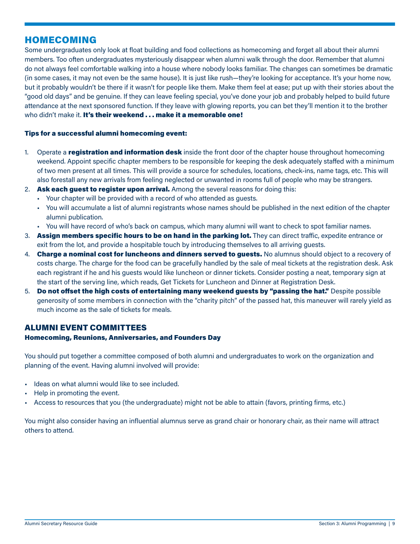## <span id="page-10-0"></span>HOMECOMING

Some undergraduates only look at float building and food collections as homecoming and forget all about their alumni members. Too often undergraduates mysteriously disappear when alumni walk through the door. Remember that alumni do not always feel comfortable walking into a house where nobody looks familiar. The changes can sometimes be dramatic (in some cases, it may not even be the same house). It is just like rush—they're looking for acceptance. It's your home now, but it probably wouldn't be there if it wasn't for people like them. Make them feel at ease; put up with their stories about the "good old days" and be genuine. If they can leave feeling special, you've done your job and probably helped to build future attendance at the next sponsored function. If they leave with glowing reports, you can bet they'll mention it to the brother who didn't make it. It's their weekend . . . make it a memorable one!

#### Tips for a successful alumni homecoming event:

- 1. Operate a **registration and information desk** inside the front door of the chapter house throughout homecoming weekend. Appoint specific chapter members to be responsible for keeping the desk adequately staffed with a minimum of two men present at all times. This will provide a source for schedules, locations, check-ins, name tags, etc. This will also forestall any new arrivals from feeling neglected or unwanted in rooms full of people who may be strangers.
- 2. Ask each guest to register upon arrival. Among the several reasons for doing this:
	- Your chapter will be provided with a record of who attended as guests.
	- You will accumulate a list of alumni registrants whose names should be published in the next edition of the chapter alumni publication.
	- You will have record of who's back on campus, which many alumni will want to check to spot familiar names.
- 3. Assign members specific hours to be on hand in the parking lot. They can direct traffic, expedite entrance or exit from the lot, and provide a hospitable touch by introducing themselves to all arriving guests.
- 4. Charge a nominal cost for luncheons and dinners served to guests. No alumnus should object to a recovery of costs charge. The charge for the food can be gracefully handled by the sale of meal tickets at the registration desk. Ask each registrant if he and his guests would like luncheon or dinner tickets. Consider posting a neat, temporary sign at the start of the serving line, which reads, Get Tickets for Luncheon and Dinner at Registration Desk.
- 5. Do not offset the high costs of entertaining many weekend guests by "passing the hat." Despite possible generosity of some members in connection with the "charity pitch" of the passed hat, this maneuver will rarely yield as much income as the sale of tickets for meals.

## ALUMNI EVENT COMMITTEES

#### Homecoming, Reunions, Anniversaries, and Founders Day

You should put together a committee composed of both alumni and undergraduates to work on the organization and planning of the event. Having alumni involved will provide:

- Ideas on what alumni would like to see included.
- Help in promoting the event.
- Access to resources that you (the undergraduate) might not be able to attain (favors, printing firms, etc.)

You might also consider having an influential alumnus serve as grand chair or honorary chair, as their name will attract others to attend.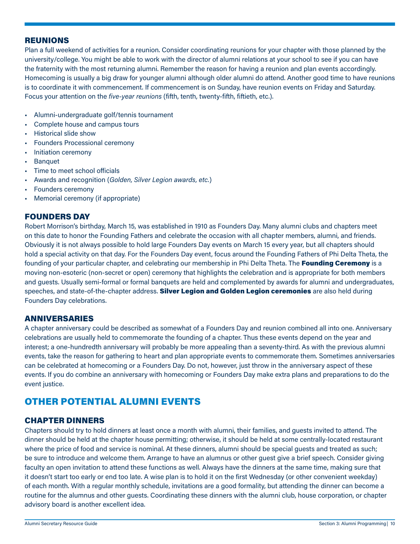## <span id="page-11-0"></span>REUNIONS

Plan a full weekend of activities for a reunion. Consider coordinating reunions for your chapter with those planned by the university/college. You might be able to work with the director of alumni relations at your school to see if you can have the fraternity with the most returning alumni. Remember the reason for having a reunion and plan events accordingly. Homecoming is usually a big draw for younger alumni although older alumni do attend. Another good time to have reunions is to coordinate it with commencement. If commencement is on Sunday, have reunion events on Friday and Saturday. Focus your attention on the *five-year reunions* (fifth, tenth, twenty-fifth, fiftieth, etc.).

- Alumni-undergraduate golf/tennis tournament
- Complete house and campus tours
- Historical slide show
- Founders Processional ceremony
- Initiation ceremony
- **Banquet**
- Time to meet school officials
- Awards and recognition (*Golden, Silver Legion awards, etc.*)
- Founders ceremony
- Memorial ceremony (if appropriate)

## FOUNDERS DAY

Robert Morrison's birthday, March 15, was established in 1910 as Founders Day. Many alumni clubs and chapters meet on this date to honor the Founding Fathers and celebrate the occasion with all chapter members, alumni, and friends. Obviously it is not always possible to hold large Founders Day events on March 15 every year, but all chapters should hold a special activity on that day. For the Founders Day event, focus around the Founding Fathers of Phi Delta Theta, the founding of your particular chapter, and celebrating our membership in Phi Delta Theta. The Founding Ceremony is a moving non-esoteric (non-secret or open) ceremony that highlights the celebration and is appropriate for both members and guests. Usually semi-formal or formal banquets are held and complemented by awards for alumni and undergraduates, speeches, and state-of-the-chapter address. Silver Legion and Golden Legion ceremonies are also held during Founders Day celebrations.

## ANNIVERSARIES

A chapter anniversary could be described as somewhat of a Founders Day and reunion combined all into one. Anniversary celebrations are usually held to commemorate the founding of a chapter. Thus these events depend on the year and interest; a one-hundredth anniversary will probably be more appealing than a seventy-third. As with the previous alumni events, take the reason for gathering to heart and plan appropriate events to commemorate them. Sometimes anniversaries can be celebrated at homecoming or a Founders Day. Do not, however, just throw in the anniversary aspect of these events. If you do combine an anniversary with homecoming or Founders Day make extra plans and preparations to do the event justice.

## OTHER POTENTIAL ALUMNI EVENTS

## CHAPTER DINNERS

Chapters should try to hold dinners at least once a month with alumni, their families, and guests invited to attend. The dinner should be held at the chapter house permitting; otherwise, it should be held at some centrally-located restaurant where the price of food and service is nominal. At these dinners, alumni should be special guests and treated as such; be sure to introduce and welcome them. Arrange to have an alumnus or other guest give a brief speech. Consider giving faculty an open invitation to attend these functions as well. Always have the dinners at the same time, making sure that it doesn't start too early or end too late. A wise plan is to hold it on the first Wednesday (or other convenient weekday) of each month. With a regular monthly schedule, invitations are a good formality, but attending the dinner can become a routine for the alumnus and other guests. Coordinating these dinners with the alumni club, house corporation, or chapter advisory board is another excellent idea.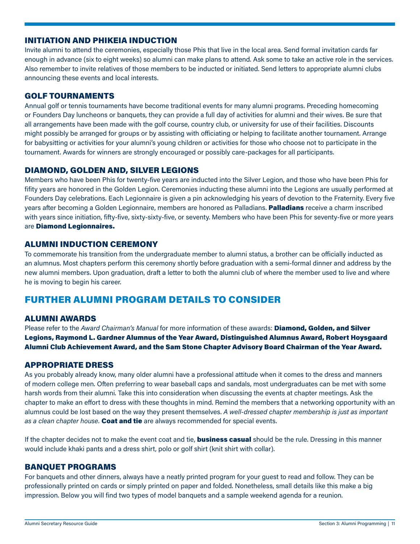## <span id="page-12-0"></span>INITIATION AND PHIKEIA INDUCTION

Invite alumni to attend the ceremonies, especially those Phis that live in the local area. Send formal invitation cards far enough in advance (six to eight weeks) so alumni can make plans to attend. Ask some to take an active role in the services. Also remember to invite relatives of those members to be inducted or initiated. Send letters to appropriate alumni clubs announcing these events and local interests.

## GOLF TOURNAMENTS

Annual golf or tennis tournaments have become traditional events for many alumni programs. Preceding homecoming or Founders Day luncheons or banquets, they can provide a full day of activities for alumni and their wives. Be sure that all arrangements have been made with the golf course, country club, or university for use of their facilities. Discounts might possibly be arranged for groups or by assisting with officiating or helping to facilitate another tournament. Arrange for babysitting or activities for your alumni's young children or activities for those who choose not to participate in the tournament. Awards for winners are strongly encouraged or possibly care-packages for all participants.

## DIAMOND, GOLDEN AND, SILVER LEGIONS

Members who have been Phis for twenty-five years are inducted into the Silver Legion, and those who have been Phis for fifity years are honored in the Golden Legion. Ceremonies inducting these alumni into the Legions are usually performed at Founders Day celebrations. Each Legionnaire is given a pin acknowledging his years of devotion to the Fraternity. Every five years after becoming a Golden Legionnaire, members are honored as Palladians. Palladians receive a charm inscribed with years since initiation, fifty-five, sixty-sixty-five, or seventy. Members who have been Phis for seventy-five or more years are Diamond Legionnaires.

### ALUMNI INDUCTION CEREMONY

To commemorate his transition from the undergraduate member to alumni status, a brother can be officially inducted as an alumnus. Most chapters perform this ceremony shortly before graduation with a semi-formal dinner and address by the new alumni members. Upon graduation, draft a letter to both the alumni club of where the member used to live and where he is moving to begin his career.

## FURTHER ALUMNI PROGRAM DETAILS TO CONSIDER

### ALUMNI AWARDS

Please refer to the *Award Chairman's Manual* for more information of these awards: Diamond, Golden, and Silver Legions, Raymond L. Gardner Alumnus of the Year Award, Distinguished Alumnus Award, Robert Hoysgaard Alumni Club Achievement Award, and the Sam Stone Chapter Advisory Board Chairman of the Year Award.

### APPROPRIATE DRESS

As you probably already know, many older alumni have a professional attitude when it comes to the dress and manners of modern college men. Often preferring to wear baseball caps and sandals, most undergraduates can be met with some harsh words from their alumni. Take this into consideration when discussing the events at chapter meetings. Ask the chapter to make an effort to dress with these thoughts in mind. Remind the members that a networking opportunity with an alumnus could be lost based on the way they present themselves. *A well-dressed chapter membership is just as important as a clean chapter house.* Coat and tie are always recommended for special events.

If the chapter decides not to make the event coat and tie, **business casual** should be the rule. Dressing in this manner would include khaki pants and a dress shirt, polo or golf shirt (knit shirt with collar).

#### BANQUET PROGRAMS

For banquets and other dinners, always have a neatly printed program for your guest to read and follow. They can be professionally printed on cards or simply printed on paper and folded. Nonetheless, small details like this make a big impression. Below you will find two types of model banquets and a sample weekend agenda for a reunion.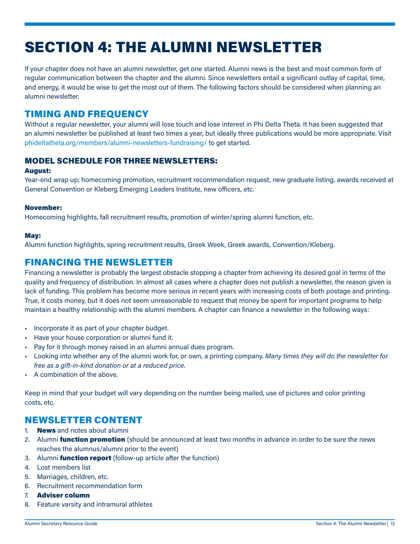## <span id="page-13-0"></span>SECTION 4: THE ALUMNI NEWSLETTER

If your chapter does not have an alumni newsletter, get one started. Alumni news is the best and most common form of regular communication between the chapter and the alumni. Since newsletters entail a significant outlay of capital, time, and energy, it would be wise to get the most out of them. The following factors should be considered when planning an alumni newsletter.

## TIMING AND FREQUENCY

Without a regular newsletter, your alumni will lose touch and lose interest in Phi Delta Theta. It has been suggested that an alumni newsletter be published at least two times a year, but ideally three publications would be more appropriate. Visit [phideltatheta.org/members/alumni-newsletters-fundraising/](https://www.phideltatheta.org/members/alumni-newsletters-fundraising/) to get started.

## MODEL SCHEDULE FOR THREE NEWSLETTERS:

#### August:

Year-end wrap up; homecoming promotion, recruitment recommendation request, new graduate listing, awards received at General Convention or Kleberg Emerging Leaders Institute, new officers, etc.

#### November:

Homecoming highlights, fall recruitment results, promotion of winter/spring alumni function, etc.

#### May:

Alumni function highlights, spring recruitment results, Greek Week, Greek awards, Convention/Kleberg.

## FINANCING THE NEWSLETTER

Financing a newsletter is probably the largest obstacle stopping a chapter from achieving its desired goal in terms of the quality and frequency of distribution. In almost all cases where a chapter does not publish a newsletter, the reason given is lack of funding. This problem has become more serious in recent years with increasing costs of both postage and printing. True, it costs money, but it does not seem unreasonable to request that money be spent for important programs to help maintain a healthy relationship with the alumni members. A chapter can finance a newsletter in the following ways:

- Incorporate it as part of your chapter budget.
- Have your house corporation or alumni fund it.
- Pay for it through money raised in an alumni annual dues program.
- Looking into whether any of the alumni work for, or own, a printing company. *Many times they will do the newsletter for free as a gift-in-kind donation or at a reduced price.*
- A combination of the above.

Keep in mind that your budget will vary depending on the number being mailed, use of pictures and color printing costs, etc.

## NEWSLETTER CONTENT

- 1. **News** and notes about alumni
- 2. Alumni **function promotion** (should be announced at least two months in advance in order to be sure the news reaches the alumnus/alumni prior to the event)
- 3. Alumni **function report** (follow-up article after the function)
- 4. Lost members list
- 5. Marriages, children, etc.
- 6. Recruitment recommendation form
- 7. Adviser column
- 8. Feature varsity and intramural athletes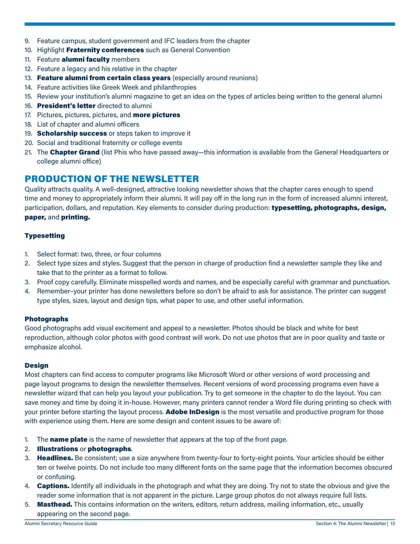- <span id="page-14-0"></span>9. Feature campus, student government and IFC leaders from the chapter
- 10. Highlight Fraternity conferences such as General Convention
- 11. Feature **alumni faculty** members
- 12. Feature a legacy and his relative in the chapter
- 13. Feature alumni from certain class years (especially around reunions)
- 14. Feature activities like Greek Week and philanthropies
- 15. Review your institution's alumni magazine to get an idea on the types of articles being written to the general alumni
- 16. President's letter directed to alumni
- 17. Pictures, pictures, pictures, and **more pictures**
- 18. List of chapter and alumni officers
- 19. **Scholarship success** or steps taken to improve it
- 20. Social and traditional fraternity or college events
- 21. The Chapter Grand (list Phis who have passed away—this information is available from the General Headquarters or college alumni office)

## PRODUCTION OF THE NEWSLETTER

Quality attracts quality. A well-designed, attractive looking newsletter shows that the chapter cares enough to spend time and money to appropriately inform their alumni. It will pay off in the long run in the form of increased alumni interest, participation, dollars, and reputation. Key elements to consider during production: typesetting, photographs, design, paper, and printing.

### Typesetting

- 1. Select format: two, three, or four columns
- 2. Select type sizes and styles. Suggest that the person in charge of production find a newsletter sample they like and take that to the printer as a format to follow.
- 3. Proof copy carefully. Eliminate misspelled words and names, and be especially careful with grammar and punctuation.
- 4. Remember–your printer has done newsletters before so don't be afraid to ask for assistance. The printer can suggest type styles, sizes, layout and design tips, what paper to use, and other useful information.

### Photographs

Good photographs add visual excitement and appeal to a newsletter. Photos should be black and white for best reproduction, although color photos with good contrast will work. Do not use photos that are in poor quality and taste or emphasize alcohol.

### Design

Most chapters can find access to computer programs like Microsoft Word or other versions of word processing and page layout programs to design the newsletter themselves. Recent versions of word processing programs even have a newsletter wizard that can help you layout your publication. Try to get someone in the chapter to do the layout. You can save money and time by doing it in-house. However, many printers cannot render a Word file during printing so check with your printer before starting the layout process. Adobe InDesign is the most versatile and productive program for those with experience using them. Here are some design and content issues to be aware of:

- 1. The **name plate** is the name of newsletter that appears at the top of the front page.
- 2. Illustrations or photographs.
- 3. Headlines. Be consistent; use a size anywhere from twenty-four to forty-eight points. Your articles should be either ten or twelve points. Do not include too many different fonts on the same page that the information becomes obscured or confusing.
- 4. **Captions.** Identify all individuals in the photograph and what they are doing. Try not to state the obvious and give the reader some information that is not apparent in the picture. Large group photos do not always require full lists.
- 5. Masthead. This contains information on the writers, editors, return address, mailing information, etc., usually appearing on the second page.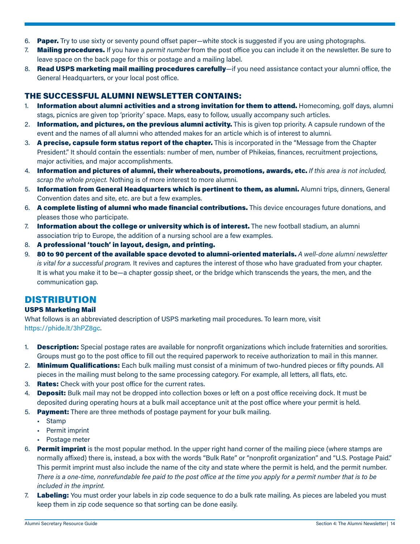- <span id="page-15-0"></span>6. Paper. Try to use sixty or seventy pound offset paper—white stock is suggested if you are using photographs.
- 7. Mailing procedures. If you have a *permit number* from the post office you can include it on the newsletter. Be sure to leave space on the back page for this or postage and a mailing label.
- 8. Read USPS marketing mail mailing procedures carefully—if you need assistance contact your alumni office, the General Headquarters, or your local post office.

## THE SUCCESSFUL ALUMNI NEWSLETTER CONTAINS:

- 1. Information about alumni activities and a strong invitation for them to attend. Homecoming, golf days, alumni stags, picnics are given top 'priority' space. Maps, easy to follow, usually accompany such articles.
- 2. Information, and pictures, on the previous alumni activity. This is given top priority. A capsule rundown of the event and the names of all alumni who attended makes for an article which is of interest to alumni.
- 3. A precise, capsule form status report of the chapter. This is incorporated in the "Message from the Chapter President." It should contain the essentials: number of men, number of Phikeias, finances, recruitment projections, major activities, and major accomplishments.
- 4. Information and pictures of alumni, their whereabouts, promotions, awards, etc. *If this area is not included, scrap the whole project.* Nothing is of more interest to more alumni.
- 5. Information from General Headquarters which is pertinent to them, as alumni. Alumni trips, dinners, General Convention dates and site, etc. are but a few examples.
- 6. A complete listing of alumni who made financial contributions. This device encourages future donations, and pleases those who participate.
- 7. Information about the college or university which is of interest. The new football stadium, an alumni association trip to Europe, the addition of a nursing school are a few examples.
- 8. A professional 'touch' in layout, design, and printing.
- 9. 80 to 90 percent of the available space devoted to alumni-oriented materials. *A well-done alumni newsletter is vital for a successful program.* It revives and captures the interest of those who have graduated from your chapter. It is what you make it to be—a chapter gossip sheet, or the bridge which transcends the years, the men, and the communication gap.

## DISTRIBUTION

### USPS Marketing Mail

What follows is an abbreviated description of USPS marketing mail procedures. To learn more, visit https://phide.lt/3hPZ8gc.

- 1. Description: Special postage rates are available for nonprofit organizations which include fraternities and sororities. Groups must go to the post office to fill out the required paperwork to receive authorization to mail in this manner.
- 2. Minimum Qualifications: Each bulk mailing must consist of a minimum of two-hundred pieces or fifty pounds. All pieces in the mailing must belong to the same processing category. For example, all letters, all flats, etc.
- 3. **Rates:** Check with your post office for the current rates.
- 4. **Deposit:** Bulk mail may not be dropped into collection boxes or left on a post office receiving dock. It must be deposited during operating hours at a bulk mail acceptance unit at the post office where your permit is held.
- 5. Payment: There are three methods of postage payment for your bulk mailing.
	- Stamp
	- Permit imprint
	- Postage meter
- 6. Permit imprint is the most popular method. In the upper right hand corner of the mailing piece (where stamps are normally affixed) there is, instead, a box with the words "Bulk Rate" or "nonprofit organization" and "U.S. Postage Paid." This permit imprint must also include the name of the city and state where the permit is held, and the permit number. *There is a one-time, nonrefundable fee paid to the post office at the time you apply for a permit number that is to be included in the imprint.*
- 7. Labeling: You must order your labels in zip code sequence to do a bulk rate mailing. As pieces are labeled you must keep them in zip code sequence so that sorting can be done easily.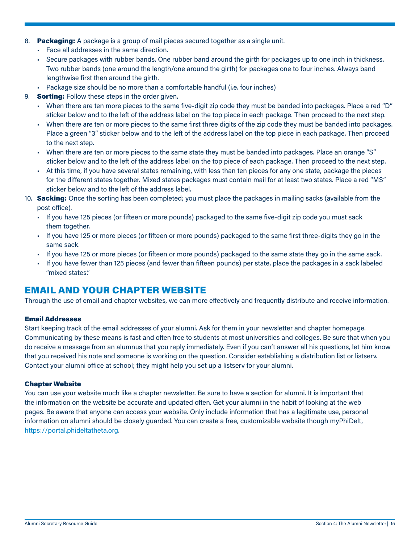- <span id="page-16-0"></span>8. Packaging: A package is a group of mail pieces secured together as a single unit.
	- Face all addresses in the same direction.
	- Secure packages with rubber bands. One rubber band around the girth for packages up to one inch in thickness. Two rubber bands (one around the length/one around the girth) for packages one to four inches. Always band lengthwise first then around the girth.
	- Package size should be no more than a comfortable handful (i.e. four inches)
- 9. **Sorting:** Follow these steps in the order given.
	- When there are ten more pieces to the same five-digit zip code they must be banded into packages. Place a red "D" sticker below and to the left of the address label on the top piece in each package. Then proceed to the next step.
	- When there are ten or more pieces to the same first three digits of the zip code they must be banded into packages. Place a green "3" sticker below and to the left of the address label on the top piece in each package. Then proceed to the next step.
	- When there are ten or more pieces to the same state they must be banded into packages. Place an orange "S" sticker below and to the left of the address label on the top piece of each package. Then proceed to the next step.
	- At this time, if you have several states remaining, with less than ten pieces for any one state, package the pieces for the different states together. Mixed states packages must contain mail for at least two states. Place a red "MS" sticker below and to the left of the address label.
- 10. Sacking: Once the sorting has been completed; you must place the packages in mailing sacks (available from the post office).
	- If you have 125 pieces (or fifteen or more pounds) packaged to the same five-digit zip code you must sack them together.
	- If you have 125 or more pieces (or fifteen or more pounds) packaged to the same first three-digits they go in the same sack.
	- If you have 125 or more pieces (or fifteen or more pounds) packaged to the same state they go in the same sack.
	- If you have fewer than 125 pieces (and fewer than fifteen pounds) per state, place the packages in a sack labeled "mixed states."

## EMAIL AND YOUR CHAPTER WEBSITE

Through the use of email and chapter websites, we can more effectively and frequently distribute and receive information.

#### Email Addresses

Start keeping track of the email addresses of your alumni. Ask for them in your newsletter and chapter homepage. Communicating by these means is fast and often free to students at most universities and colleges. Be sure that when you do receive a message from an alumnus that you reply immediately. Even if you can't answer all his questions, let him know that you received his note and someone is working on the question. Consider establishing a distribution list or listserv. Contact your alumni office at school; they might help you set up a listserv for your alumni.

#### Chapter Website

You can use your website much like a chapter newsletter. Be sure to have a section for alumni. It is important that the information on the website be accurate and updated often. Get your alumni in the habit of looking at the web pages. Be aware that anyone can access your website. Only include information that has a legitimate use, personal information on alumni should be closely guarded. You can create a free, customizable website though myPhiDelt, https://portal.phideltatheta.org.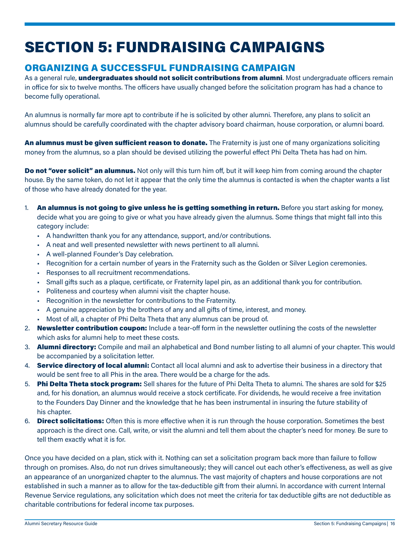## <span id="page-17-0"></span>SECTION 5: FUNDRAISING CAMPAIGNS

## ORGANIZING A SUCCESSFUL FUNDRAISING CAMPAIGN

As a general rule, undergraduates should not solicit contributions from alumni. Most undergraduate officers remain in office for six to twelve months. The officers have usually changed before the solicitation program has had a chance to become fully operational.

An alumnus is normally far more apt to contribute if he is solicited by other alumni. Therefore, any plans to solicit an alumnus should be carefully coordinated with the chapter advisory board chairman, house corporation, or alumni board.

An alumnus must be given sufficient reason to donate. The Fraternity is just one of many organizations soliciting money from the alumnus, so a plan should be devised utilizing the powerful effect Phi Delta Theta has had on him.

Do not "over solicit" an alumnus. Not only will this turn him off, but it will keep him from coming around the chapter house. By the same token, do not let it appear that the only time the alumnus is contacted is when the chapter wants a list of those who have already donated for the year.

- 1. An alumnus is not going to give unless he is getting something in return. Before you start asking for money, decide what you are going to give or what you have already given the alumnus. Some things that might fall into this category include:
	- A handwritten thank you for any attendance, support, and/or contributions.
	- A neat and well presented newsletter with news pertinent to all alumni.
	- A well-planned Founder's Day celebration.
	- Recognition for a certain number of years in the Fraternity such as the Golden or Silver Legion ceremonies.
	- Responses to all recruitment recommendations.
	- Small gifts such as a plaque, certificate, or Fraternity lapel pin, as an additional thank you for contribution.
	- Politeness and courtesy when alumni visit the chapter house.
	- Recognition in the newsletter for contributions to the Fraternity.
	- A genuine appreciation by the brothers of any and all gifts of time, interest, and money.
	- Most of all, a chapter of Phi Delta Theta that any alumnus can be proud of.
- 2. Newsletter contribution coupon: Include a tear-off form in the newsletter outlining the costs of the newsletter which asks for alumni help to meet these costs.
- 3. Alumni directory: Compile and mail an alphabetical and Bond number listing to all alumni of your chapter. This would be accompanied by a solicitation letter.
- 4. Service directory of local alumni: Contact all local alumni and ask to advertise their business in a directory that would be sent free to all Phis in the area. There would be a charge for the ads.
- 5. Phi Delta Theta stock program: Sell shares for the future of Phi Delta Theta to alumni. The shares are sold for \$25 and, for his donation, an alumnus would receive a stock certificate. For dividends, he would receive a free invitation to the Founders Day Dinner and the knowledge that he has been instrumental in insuring the future stability of his chapter.
- 6. Direct solicitations: Often this is more effective when it is run through the house corporation. Sometimes the best approach is the direct one. Call, write, or visit the alumni and tell them about the chapter's need for money. Be sure to tell them exactly what it is for.

Once you have decided on a plan, stick with it. Nothing can set a solicitation program back more than failure to follow through on promises. Also, do not run drives simultaneously; they will cancel out each other's effectiveness, as well as give an appearance of an unorganized chapter to the alumnus. The vast majority of chapters and house corporations are not established in such a manner as to allow for the tax-deductible gift from their alumni. In accordance with current Internal Revenue Service regulations, any solicitation which does not meet the criteria for tax deductible gifts are not deductible as charitable contributions for federal income tax purposes.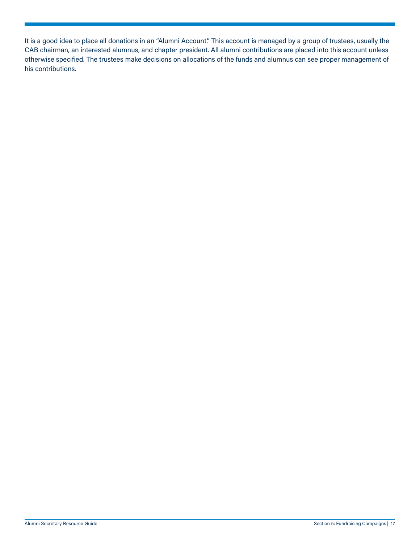It is a good idea to place all donations in an "Alumni Account." This account is managed by a group of trustees, usually the CAB chairman, an interested alumnus, and chapter president. All alumni contributions are placed into this account unless otherwise specified. The trustees make decisions on allocations of the funds and alumnus can see proper management of his contributions.